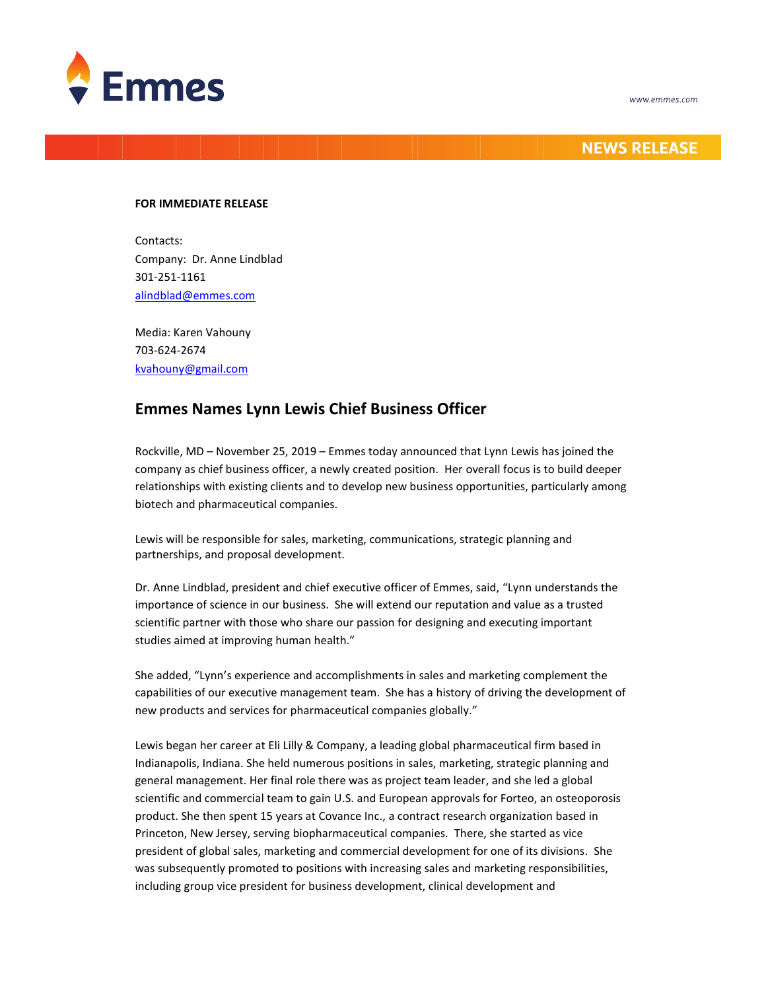



## **NEWS RELEASE**

## **FOR IMMEDIATE RELEASE**

Contacts: Company: Dr. Anne Lindblad 301-251-1161 [alindblad@emmes.com](mailto:alindblad@emmes.com)

Media: Karen Vahouny 703-624-2674 [kvahouny@gmail.com](mailto:kvahouny@gmail.com)

## **Emmes Names Lynn Lewis Chief Business Officer**

Rockville, MD – November 25, 2019 – Emmes today announced that Lynn Lewis has joined the company as chief business officer, a newly created position. Her overall focus is to build deeper relationships with existing clients and to develop new business opportunities, particularly among biotech and pharmaceutical companies.

Lewis will be responsible for sales, marketing, communications, strategic planning and partnerships, and proposal development.

Dr. Anne Lindblad, president and chief executive officer of Emmes, said, "Lynn understands the importance of science in our business. She will extend our reputation and value as a trusted scientific partner with those who share our passion for designing and executing important studies aimed at improving human health."

She added, "Lynn's experience and accomplishments in sales and marketing complement the capabilities of our executive management team. She has a history of driving the development of new products and services for pharmaceutical companies globally."

Lewis began her career at Eli Lilly & Company, a leading global pharmaceutical firm based in Indianapolis, Indiana. She held numerous positions in sales, marketing, strategic planning and general management. Her final role there was as project team leader, and she led a global scientific and commercial team to gain U.S. and European approvals for Forteo, an osteoporosis product. She then spent 15 years at Covance Inc., a contract research organization based in Princeton, New Jersey, serving biopharmaceutical companies. There, she started as vice president of global sales, marketing and commercial development for one of its divisions. She was subsequently promoted to positions with increasing sales and marketing responsibilities, including group vice president for business development, clinical development and